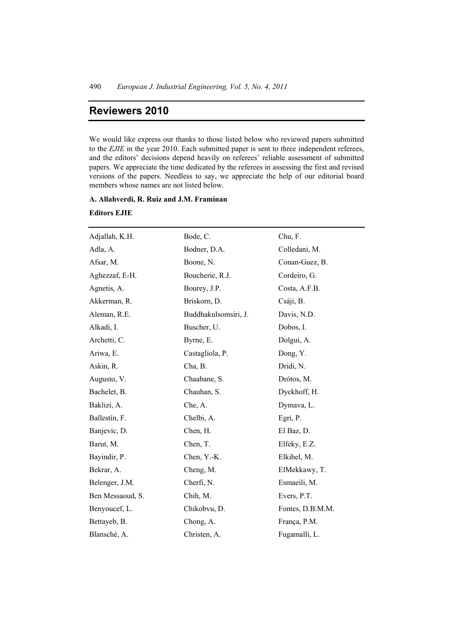# **Reviewers 2010**

We would like express our thanks to those listed below who reviewed papers submitted to the *EJIE* in the year 2010. Each submitted paper is sent to three independent referees, and the editors' decisions depend heavily on referees' reliable assessment of submitted papers. We appreciate the time dedicated by the referees in assessing the first and revised versions of the papers. Needless to say, we appreciate the help of our editorial board members whose names are not listed below.

#### **A. Allahverdi, R. Ruiz and J.M. Framinan**

### **Editors EJIE**

| Adjallah, K.H.   | Bode, C.             | Chu, F.          |
|------------------|----------------------|------------------|
| Adla, A.         | Bodner, D.A.         | Colledani, M.    |
| Afsar, M.        | Boone, N.            | Conan-Guez, B.   |
| Aghezzaf, E-H.   | Boucherie, R.J.      | Cordeiro, G.     |
| Agnetis, A.      | Bourey, J.P.         | Costa, A.F.B.    |
| Akkerman, R.     | Briskorn, D.         | Csáji, B.        |
| Aleman, R.E.     | Buddhakulsomsiri, J. | Davis, N.D.      |
| Alkadi, I.       | Buscher, U.          | Dobos, I.        |
| Archetti, C.     | Byrne, E.            | Dolgui, A.       |
| Ariwa, E.        | Castagliola, P.      | Dong, Y.         |
| Askin, R.        | Cha, B.              | Dridi, N.        |
| Augusto, V.      | Chaabane, S.         | Drótos, M.       |
| Bachelet, B.     | Chauhan, S.          | Dyckhoff, H.     |
| Baklizi, A.      | Che, A.              | Dymava, L.       |
| Ballestín, F.    | Chelbi, A.           | Egri, P.         |
| Banjevic, D.     | Chen, H.             | El Baz, D.       |
| Barut, M.        | Chen, T.             | Elfeky, E.Z.     |
| Bayindir, P.     | Chen, Y.-K.          | Elkihel, M.      |
| Bekrar, A.       | Cheng, M.            | ElMekkawy, T.    |
| Belenger, J.M.   | Cherfi, N.           | Esmaeili, M.     |
| Ben Messaoud, S. | Chih, M.             | Evers, P.T.      |
| Benyoucef, L.    | Chikobvu, D.         | Fontes, D.B.M.M. |
| Bettayeb, B.     | Chong, A.            | França, P.M.     |
| Blansché, A.     | Christen, A.         | Fugamalli, L.    |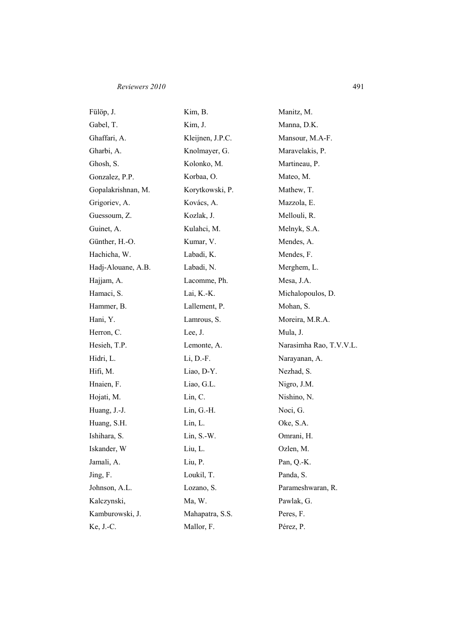## *Reviewers 2010* 491

| Fülöp, J.          | Kim, B.          | Manitz, M.              |  |
|--------------------|------------------|-------------------------|--|
| Gabel, T.          | Kim, J.          | Manna, D.K.             |  |
| Ghaffari, A.       | Kleijnen, J.P.C. | Mansour, M.A-F.         |  |
| Gharbi, A.         | Knolmayer, G.    | Maravelakis, P.         |  |
| Ghosh, S.          | Kolonko, M.      | Martineau, P.           |  |
| Gonzalez, P.P.     | Korbaa, O.       | Mateo, M.               |  |
| Gopalakrishnan, M. | Korytkowski, P.  | Mathew, T.              |  |
| Grigoriev, A.      | Kovács, A.       | Mazzola, E.             |  |
| Guessoum, Z.       | Kozlak, J.       | Mellouli, R.            |  |
| Guinet, A.         | Kulahci, M.      | Melnyk, S.A.            |  |
| Günther, H.-O.     | Kumar, V.        | Mendes, A.              |  |
| Hachicha, W.       | Labadi, K.       | Mendes, F.              |  |
| Hadj-Alouane, A.B. | Labadi, N.       | Merghem, L.             |  |
| Hajjam, A.         | Lacomme, Ph.     | Mesa, J.A.              |  |
| Hamaci, S.         | Lai, K.-K.       | Michalopoulos, D.       |  |
| Hammer, B.         | Lallement, P.    | Mohan, S.               |  |
| Hani, Y.           | Lamrous, S.      | Moreira, M.R.A.         |  |
| Herron, C.         | Lee, J.          | Mula, J.                |  |
| Hesieh, T.P.       | Lemonte, A.      | Narasimha Rao, T.V.V.L. |  |
| Hidri, L.          | $Li, D.-F.$      | Narayanan, A.           |  |
| Hifi, M.           | Liao, D-Y.       | Nezhad, S.              |  |
| Hnaien, F.         | Liao, G.L.       | Nigro, J.M.             |  |
| Hojati, M.         | Lin, C.          | Nishino, N.             |  |
| Huang, J.-J.       | $Lin, G.-H.$     | Noci, G.                |  |
| Huang, S.H.        | Lin, L.          | Oke, S.A.               |  |
| Ishihara, S.       | $Lin, S.-W.$     | Omrani, H.              |  |
| Iskander, W        | Liu, L.          | Ozlen, M.               |  |
| Jamali, A.         | Liu, P.          | Pan, Q.-K.              |  |
| Jing, F.           | Loukil, T.       | Panda, S.               |  |
| Johnson, A.L.      | Lozano, S.       | Parameshwaran, R.       |  |
| Kalczynski,        | Ma, W.           | Pawlak, G.              |  |
| Kamburowski, J.    | Mahapatra, S.S.  | Peres, F.               |  |
| Ke, J.-C.          | Mallor, F.       | Pérez, P.               |  |
|                    |                  |                         |  |